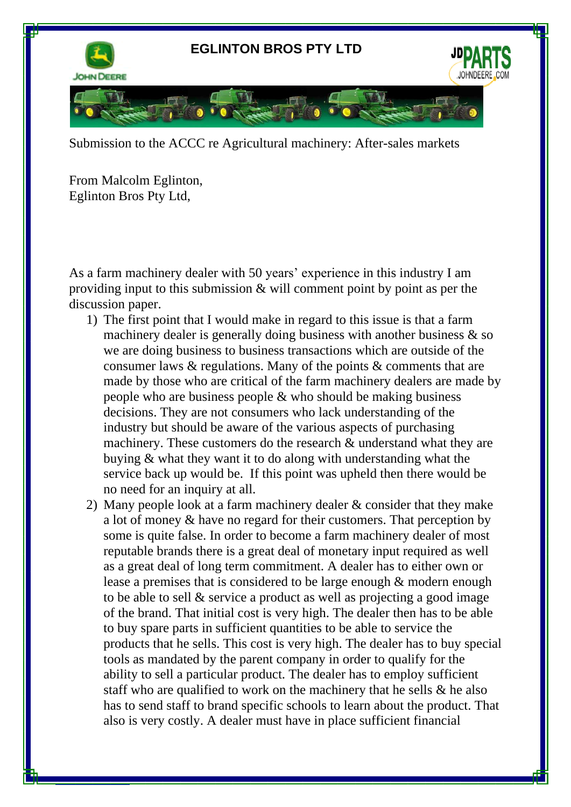

Submission to the ACCC re Agricultural machinery: After-sales markets

From Malcolm Eglinton, Eglinton Bros Pty Ltd,

ww.deere.com

As a farm machinery dealer with 50 years' experience in this industry I am providing input to this submission  $\&$  will comment point by point as per the discussion paper.

- 1) The first point that I would make in regard to this issue is that a farm machinery dealer is generally doing business with another business & so we are doing business to business transactions which are outside of the consumer laws & regulations. Many of the points & comments that are made by those who are critical of the farm machinery dealers are made by people who are business people & who should be making business decisions. They are not consumers who lack understanding of the industry but should be aware of the various aspects of purchasing machinery. These customers do the research & understand what they are buying & what they want it to do along with understanding what the service back up would be. If this point was upheld then there would be no need for an inquiry at all.
- 2) Many people look at a farm machinery dealer & consider that they make a lot of money & have no regard for their customers. That perception by some is quite false. In order to become a farm machinery dealer of most reputable brands there is a great deal of monetary input required as well as a great deal of long term commitment. A dealer has to either own or lease a premises that is considered to be large enough & modern enough to be able to sell & service a product as well as projecting a good image of the brand. That initial cost is very high. The dealer then has to be able to buy spare parts in sufficient quantities to be able to service the products that he sells. This cost is very high. The dealer has to buy special tools as mandated by the parent company in order to qualify for the ability to sell a particular product. The dealer has to employ sufficient staff who are qualified to work on the machinery that he sells & he also has to send staff to brand specific schools to learn about the product. That also is very costly. A dealer must have in place sufficient financial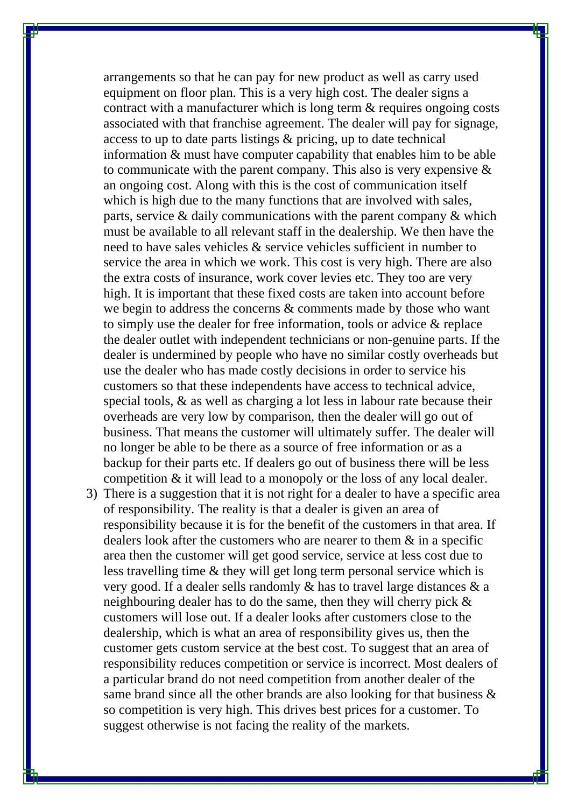arrangements so that he can pay for new product as well as carry used equipment on floor plan. This is a very high cost. The dealer signs a contract with a manufacturer which is long term & requires ongoing costs associated with that franchise agreement. The dealer will pay for signage, access to up to date parts listings & pricing, up to date technical information & must have computer capability that enables him to be able to communicate with the parent company. This also is very expensive  $\&$ an ongoing cost. Along with this is the cost of communication itself which is high due to the many functions that are involved with sales, parts, service & daily communications with the parent company & which must be available to all relevant staff in the dealership. We then have the need to have sales vehicles & service vehicles sufficient in number to service the area in which we work. This cost is very high. There are also the extra costs of insurance, work cover levies etc. They too are very high. It is important that these fixed costs are taken into account before we begin to address the concerns & comments made by those who want to simply use the dealer for free information, tools or advice & replace the dealer outlet with independent technicians or non-genuine parts. If the dealer is undermined by people who have no similar costly overheads but use the dealer who has made costly decisions in order to service his customers so that these independents have access to technical advice, special tools, & as well as charging a lot less in labour rate because their overheads are very low by comparison, then the dealer will go out of business. That means the customer will ultimately suffer. The dealer will no longer be able to be there as a source of free information or as a backup for their parts etc. If dealers go out of business there will be less competition & it will lead to a monopoly or the loss of any local dealer.

3) There is a suggestion that it is not right for a dealer to have a specific area of responsibility. The reality is that a dealer is given an area of responsibility because it is for the benefit of the customers in that area. If dealers look after the customers who are nearer to them & in a specific area then the customer will get good service, service at less cost due to less travelling time & they will get long term personal service which is very good. If a dealer sells randomly & has to travel large distances & a neighbouring dealer has to do the same, then they will cherry pick & customers will lose out. If a dealer looks after customers close to the dealership, which is what an area of responsibility gives us, then the customer gets custom service at the best cost. To suggest that an area of responsibility reduces competition or service is incorrect. Most dealers of a particular brand do not need competition from another dealer of the same brand since all the other brands are also looking for that business & so competition is very high. This drives best prices for a customer. To suggest otherwise is not facing the reality of the markets.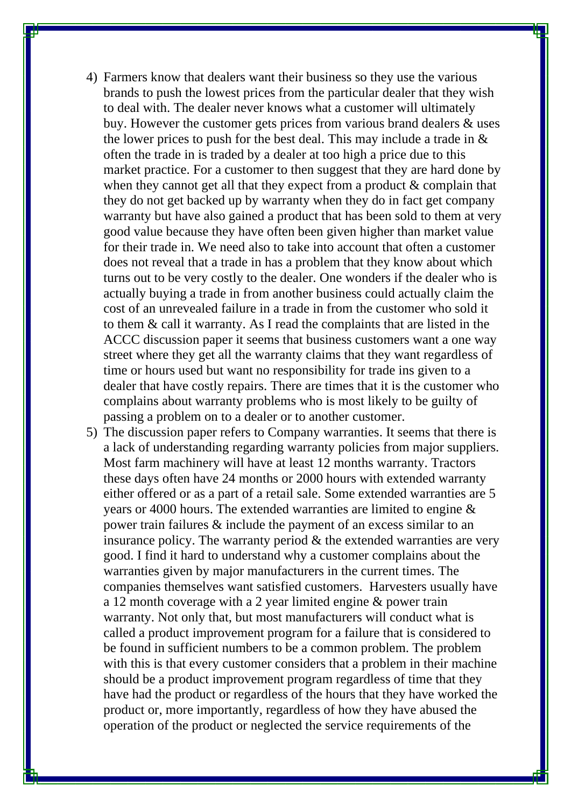- 4) Farmers know that dealers want their business so they use the various brands to push the lowest prices from the particular dealer that they wish to deal with. The dealer never knows what a customer will ultimately buy. However the customer gets prices from various brand dealers & uses the lower prices to push for the best deal. This may include a trade in & often the trade in is traded by a dealer at too high a price due to this market practice. For a customer to then suggest that they are hard done by when they cannot get all that they expect from a product & complain that they do not get backed up by warranty when they do in fact get company warranty but have also gained a product that has been sold to them at very good value because they have often been given higher than market value for their trade in. We need also to take into account that often a customer does not reveal that a trade in has a problem that they know about which turns out to be very costly to the dealer. One wonders if the dealer who is actually buying a trade in from another business could actually claim the cost of an unrevealed failure in a trade in from the customer who sold it to them & call it warranty. As I read the complaints that are listed in the ACCC discussion paper it seems that business customers want a one way street where they get all the warranty claims that they want regardless of time or hours used but want no responsibility for trade ins given to a dealer that have costly repairs. There are times that it is the customer who complains about warranty problems who is most likely to be guilty of passing a problem on to a dealer or to another customer.
- 5) The discussion paper refers to Company warranties. It seems that there is a lack of understanding regarding warranty policies from major suppliers. Most farm machinery will have at least 12 months warranty. Tractors these days often have 24 months or 2000 hours with extended warranty either offered or as a part of a retail sale. Some extended warranties are 5 years or 4000 hours. The extended warranties are limited to engine & power train failures & include the payment of an excess similar to an insurance policy. The warranty period & the extended warranties are very good. I find it hard to understand why a customer complains about the warranties given by major manufacturers in the current times. The companies themselves want satisfied customers. Harvesters usually have a 12 month coverage with a 2 year limited engine & power train warranty. Not only that, but most manufacturers will conduct what is called a product improvement program for a failure that is considered to be found in sufficient numbers to be a common problem. The problem with this is that every customer considers that a problem in their machine should be a product improvement program regardless of time that they have had the product or regardless of the hours that they have worked the product or, more importantly, regardless of how they have abused the operation of the product or neglected the service requirements of the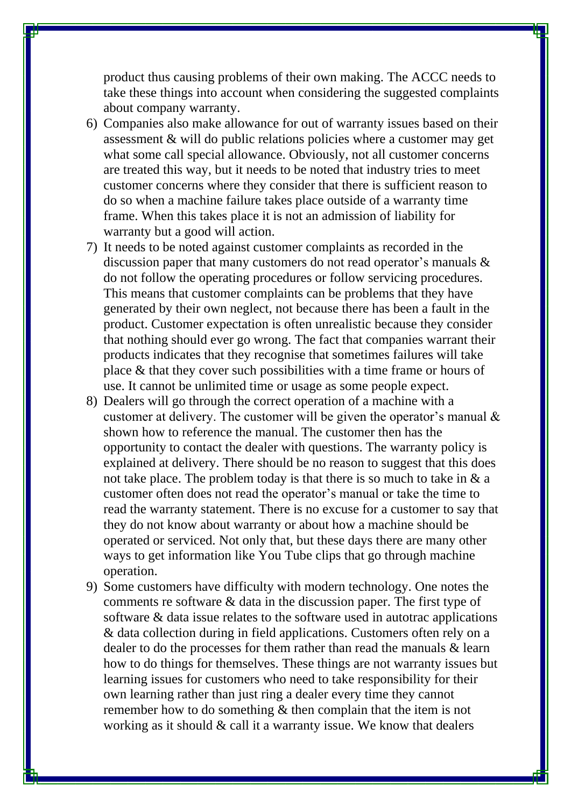product thus causing problems of their own making. The ACCC needs to take these things into account when considering the suggested complaints about company warranty.

- 6) Companies also make allowance for out of warranty issues based on their assessment & will do public relations policies where a customer may get what some call special allowance. Obviously, not all customer concerns are treated this way, but it needs to be noted that industry tries to meet customer concerns where they consider that there is sufficient reason to do so when a machine failure takes place outside of a warranty time frame. When this takes place it is not an admission of liability for warranty but a good will action.
- 7) It needs to be noted against customer complaints as recorded in the discussion paper that many customers do not read operator's manuals & do not follow the operating procedures or follow servicing procedures. This means that customer complaints can be problems that they have generated by their own neglect, not because there has been a fault in the product. Customer expectation is often unrealistic because they consider that nothing should ever go wrong. The fact that companies warrant their products indicates that they recognise that sometimes failures will take place & that they cover such possibilities with a time frame or hours of use. It cannot be unlimited time or usage as some people expect.
- 8) Dealers will go through the correct operation of a machine with a customer at delivery. The customer will be given the operator's manual & shown how to reference the manual. The customer then has the opportunity to contact the dealer with questions. The warranty policy is explained at delivery. There should be no reason to suggest that this does not take place. The problem today is that there is so much to take in  $\&$  a customer often does not read the operator's manual or take the time to read the warranty statement. There is no excuse for a customer to say that they do not know about warranty or about how a machine should be operated or serviced. Not only that, but these days there are many other ways to get information like You Tube clips that go through machine operation.
- 9) Some customers have difficulty with modern technology. One notes the comments re software & data in the discussion paper. The first type of software & data issue relates to the software used in autotrac applications & data collection during in field applications. Customers often rely on a dealer to do the processes for them rather than read the manuals & learn how to do things for themselves. These things are not warranty issues but learning issues for customers who need to take responsibility for their own learning rather than just ring a dealer every time they cannot remember how to do something & then complain that the item is not working as it should & call it a warranty issue. We know that dealers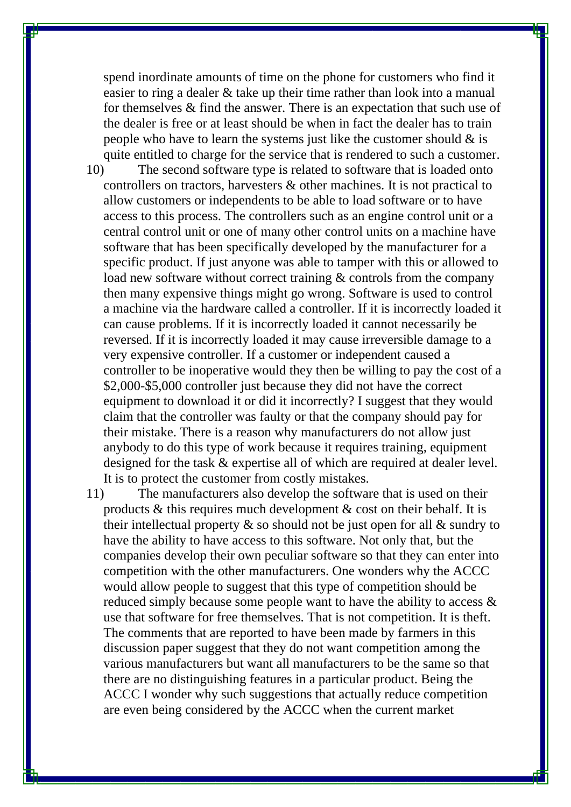spend inordinate amounts of time on the phone for customers who find it easier to ring a dealer & take up their time rather than look into a manual for themselves & find the answer. There is an expectation that such use of the dealer is free or at least should be when in fact the dealer has to train people who have to learn the systems just like the customer should  $\&$  is quite entitled to charge for the service that is rendered to such a customer.

10) The second software type is related to software that is loaded onto controllers on tractors, harvesters & other machines. It is not practical to allow customers or independents to be able to load software or to have access to this process. The controllers such as an engine control unit or a central control unit or one of many other control units on a machine have software that has been specifically developed by the manufacturer for a specific product. If just anyone was able to tamper with this or allowed to load new software without correct training & controls from the company then many expensive things might go wrong. Software is used to control a machine via the hardware called a controller. If it is incorrectly loaded it can cause problems. If it is incorrectly loaded it cannot necessarily be reversed. If it is incorrectly loaded it may cause irreversible damage to a very expensive controller. If a customer or independent caused a controller to be inoperative would they then be willing to pay the cost of a \$2,000-\$5,000 controller just because they did not have the correct equipment to download it or did it incorrectly? I suggest that they would claim that the controller was faulty or that the company should pay for their mistake. There is a reason why manufacturers do not allow just anybody to do this type of work because it requires training, equipment designed for the task & expertise all of which are required at dealer level. It is to protect the customer from costly mistakes.

11) The manufacturers also develop the software that is used on their products & this requires much development & cost on their behalf. It is their intellectual property  $\&$  so should not be just open for all  $\&$  sundry to have the ability to have access to this software. Not only that, but the companies develop their own peculiar software so that they can enter into competition with the other manufacturers. One wonders why the ACCC would allow people to suggest that this type of competition should be reduced simply because some people want to have the ability to access & use that software for free themselves. That is not competition. It is theft. The comments that are reported to have been made by farmers in this discussion paper suggest that they do not want competition among the various manufacturers but want all manufacturers to be the same so that there are no distinguishing features in a particular product. Being the ACCC I wonder why such suggestions that actually reduce competition are even being considered by the ACCC when the current market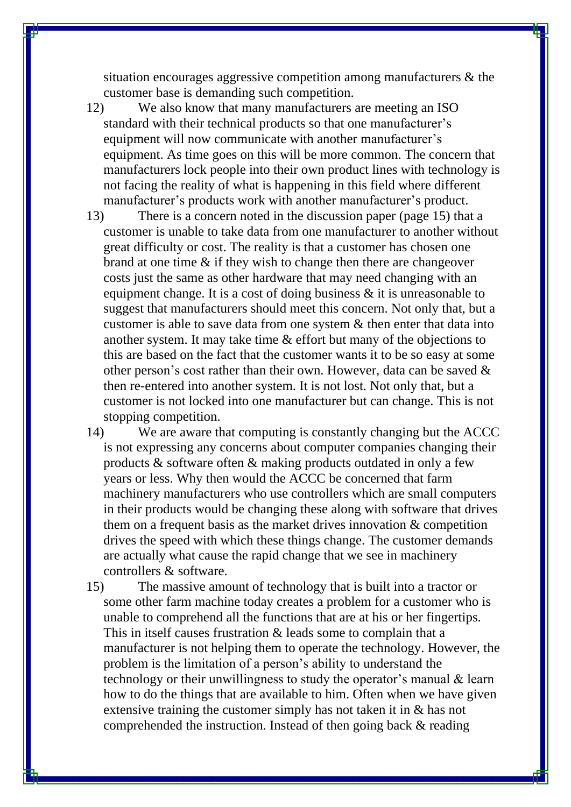situation encourages aggressive competition among manufacturers & the customer base is demanding such competition.

12) We also know that many manufacturers are meeting an ISO standard with their technical products so that one manufacturer's equipment will now communicate with another manufacturer's equipment. As time goes on this will be more common. The concern that manufacturers lock people into their own product lines with technology is not facing the reality of what is happening in this field where different manufacturer's products work with another manufacturer's product.

13) There is a concern noted in the discussion paper (page 15) that a customer is unable to take data from one manufacturer to another without great difficulty or cost. The reality is that a customer has chosen one brand at one time & if they wish to change then there are changeover costs just the same as other hardware that may need changing with an equipment change. It is a cost of doing business  $\&$  it is unreasonable to suggest that manufacturers should meet this concern. Not only that, but a customer is able to save data from one system & then enter that data into another system. It may take time & effort but many of the objections to this are based on the fact that the customer wants it to be so easy at some other person's cost rather than their own. However, data can be saved & then re-entered into another system. It is not lost. Not only that, but a customer is not locked into one manufacturer but can change. This is not stopping competition.

14) We are aware that computing is constantly changing but the ACCC is not expressing any concerns about computer companies changing their products & software often & making products outdated in only a few years or less. Why then would the ACCC be concerned that farm machinery manufacturers who use controllers which are small computers in their products would be changing these along with software that drives them on a frequent basis as the market drives innovation & competition drives the speed with which these things change. The customer demands are actually what cause the rapid change that we see in machinery controllers & software.

15) The massive amount of technology that is built into a tractor or some other farm machine today creates a problem for a customer who is unable to comprehend all the functions that are at his or her fingertips. This in itself causes frustration & leads some to complain that a manufacturer is not helping them to operate the technology. However, the problem is the limitation of a person's ability to understand the technology or their unwillingness to study the operator's manual & learn how to do the things that are available to him. Often when we have given extensive training the customer simply has not taken it in & has not comprehended the instruction. Instead of then going back & reading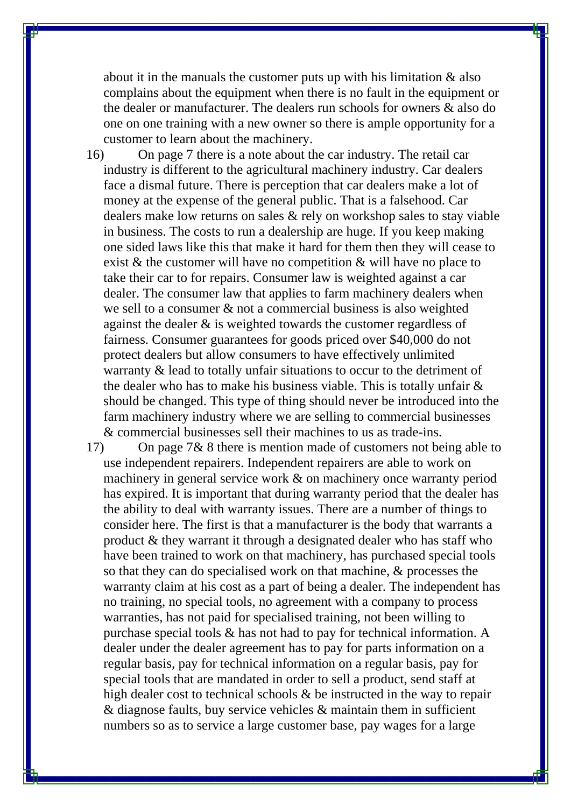about it in the manuals the customer puts up with his limitation & also complains about the equipment when there is no fault in the equipment or the dealer or manufacturer. The dealers run schools for owners & also do one on one training with a new owner so there is ample opportunity for a customer to learn about the machinery.

16) On page 7 there is a note about the car industry. The retail car industry is different to the agricultural machinery industry. Car dealers face a dismal future. There is perception that car dealers make a lot of money at the expense of the general public. That is a falsehood. Car dealers make low returns on sales & rely on workshop sales to stay viable in business. The costs to run a dealership are huge. If you keep making one sided laws like this that make it hard for them then they will cease to exist & the customer will have no competition & will have no place to take their car to for repairs. Consumer law is weighted against a car dealer. The consumer law that applies to farm machinery dealers when we sell to a consumer & not a commercial business is also weighted against the dealer & is weighted towards the customer regardless of fairness. Consumer guarantees for goods priced over \$40,000 do not protect dealers but allow consumers to have effectively unlimited warranty & lead to totally unfair situations to occur to the detriment of the dealer who has to make his business viable. This is totally unfair & should be changed. This type of thing should never be introduced into the farm machinery industry where we are selling to commercial businesses & commercial businesses sell their machines to us as trade-ins.

17) On page 7& 8 there is mention made of customers not being able to use independent repairers. Independent repairers are able to work on machinery in general service work & on machinery once warranty period has expired. It is important that during warranty period that the dealer has the ability to deal with warranty issues. There are a number of things to consider here. The first is that a manufacturer is the body that warrants a product & they warrant it through a designated dealer who has staff who have been trained to work on that machinery, has purchased special tools so that they can do specialised work on that machine, & processes the warranty claim at his cost as a part of being a dealer. The independent has no training, no special tools, no agreement with a company to process warranties, has not paid for specialised training, not been willing to purchase special tools & has not had to pay for technical information. A dealer under the dealer agreement has to pay for parts information on a regular basis, pay for technical information on a regular basis, pay for special tools that are mandated in order to sell a product, send staff at high dealer cost to technical schools & be instructed in the way to repair & diagnose faults, buy service vehicles & maintain them in sufficient numbers so as to service a large customer base, pay wages for a large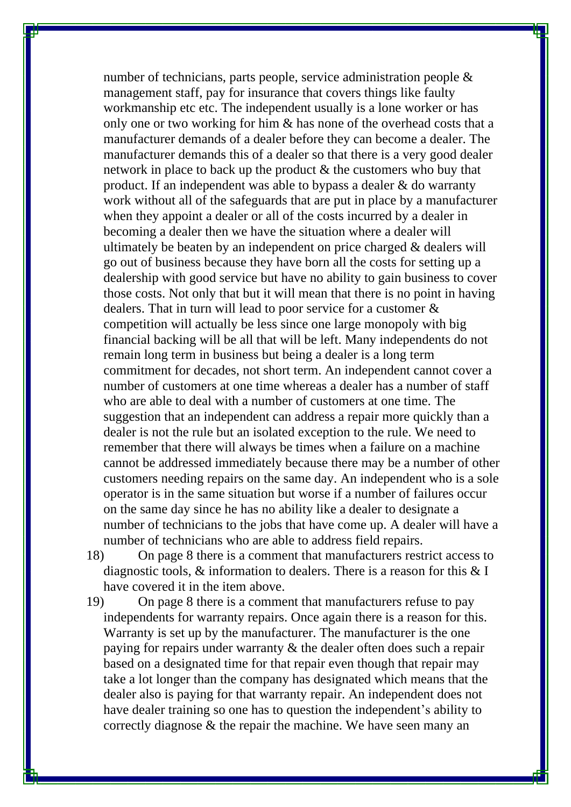number of technicians, parts people, service administration people & management staff, pay for insurance that covers things like faulty workmanship etc etc. The independent usually is a lone worker or has only one or two working for him & has none of the overhead costs that a manufacturer demands of a dealer before they can become a dealer. The manufacturer demands this of a dealer so that there is a very good dealer network in place to back up the product & the customers who buy that product. If an independent was able to bypass a dealer & do warranty work without all of the safeguards that are put in place by a manufacturer when they appoint a dealer or all of the costs incurred by a dealer in becoming a dealer then we have the situation where a dealer will ultimately be beaten by an independent on price charged & dealers will go out of business because they have born all the costs for setting up a dealership with good service but have no ability to gain business to cover those costs. Not only that but it will mean that there is no point in having dealers. That in turn will lead to poor service for a customer & competition will actually be less since one large monopoly with big financial backing will be all that will be left. Many independents do not remain long term in business but being a dealer is a long term commitment for decades, not short term. An independent cannot cover a number of customers at one time whereas a dealer has a number of staff who are able to deal with a number of customers at one time. The suggestion that an independent can address a repair more quickly than a dealer is not the rule but an isolated exception to the rule. We need to remember that there will always be times when a failure on a machine cannot be addressed immediately because there may be a number of other customers needing repairs on the same day. An independent who is a sole operator is in the same situation but worse if a number of failures occur on the same day since he has no ability like a dealer to designate a number of technicians to the jobs that have come up. A dealer will have a number of technicians who are able to address field repairs.

18) On page 8 there is a comment that manufacturers restrict access to diagnostic tools, & information to dealers. There is a reason for this & I have covered it in the item above.

19) On page 8 there is a comment that manufacturers refuse to pay independents for warranty repairs. Once again there is a reason for this. Warranty is set up by the manufacturer. The manufacturer is the one paying for repairs under warranty & the dealer often does such a repair based on a designated time for that repair even though that repair may take a lot longer than the company has designated which means that the dealer also is paying for that warranty repair. An independent does not have dealer training so one has to question the independent's ability to correctly diagnose & the repair the machine. We have seen many an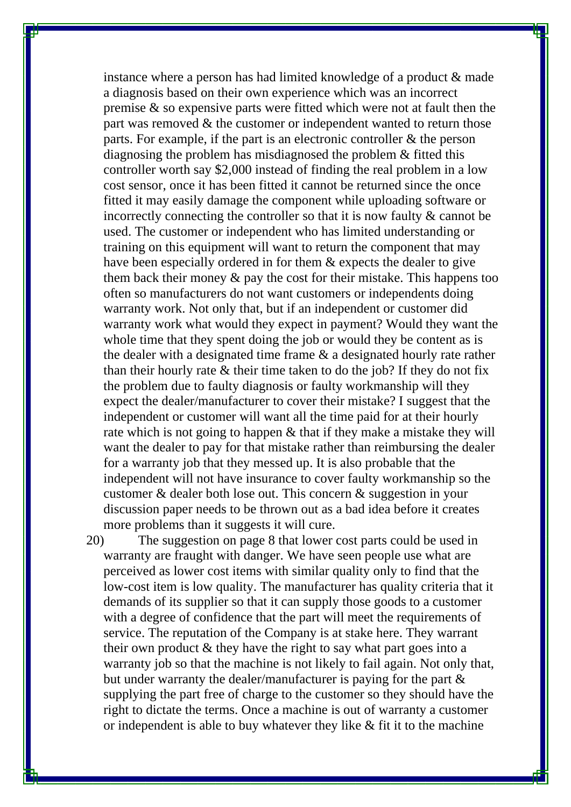instance where a person has had limited knowledge of a product & made a diagnosis based on their own experience which was an incorrect premise & so expensive parts were fitted which were not at fault then the part was removed & the customer or independent wanted to return those parts. For example, if the part is an electronic controller & the person diagnosing the problem has misdiagnosed the problem & fitted this controller worth say \$2,000 instead of finding the real problem in a low cost sensor, once it has been fitted it cannot be returned since the once fitted it may easily damage the component while uploading software or incorrectly connecting the controller so that it is now faulty & cannot be used. The customer or independent who has limited understanding or training on this equipment will want to return the component that may have been especially ordered in for them & expects the dealer to give them back their money & pay the cost for their mistake. This happens too often so manufacturers do not want customers or independents doing warranty work. Not only that, but if an independent or customer did warranty work what would they expect in payment? Would they want the whole time that they spent doing the job or would they be content as is the dealer with a designated time frame & a designated hourly rate rather than their hourly rate & their time taken to do the job? If they do not fix the problem due to faulty diagnosis or faulty workmanship will they expect the dealer/manufacturer to cover their mistake? I suggest that the independent or customer will want all the time paid for at their hourly rate which is not going to happen & that if they make a mistake they will want the dealer to pay for that mistake rather than reimbursing the dealer for a warranty job that they messed up. It is also probable that the independent will not have insurance to cover faulty workmanship so the customer & dealer both lose out. This concern & suggestion in your discussion paper needs to be thrown out as a bad idea before it creates more problems than it suggests it will cure.

20) The suggestion on page 8 that lower cost parts could be used in warranty are fraught with danger. We have seen people use what are perceived as lower cost items with similar quality only to find that the low-cost item is low quality. The manufacturer has quality criteria that it demands of its supplier so that it can supply those goods to a customer with a degree of confidence that the part will meet the requirements of service. The reputation of the Company is at stake here. They warrant their own product & they have the right to say what part goes into a warranty job so that the machine is not likely to fail again. Not only that, but under warranty the dealer/manufacturer is paying for the part & supplying the part free of charge to the customer so they should have the right to dictate the terms. Once a machine is out of warranty a customer or independent is able to buy whatever they like & fit it to the machine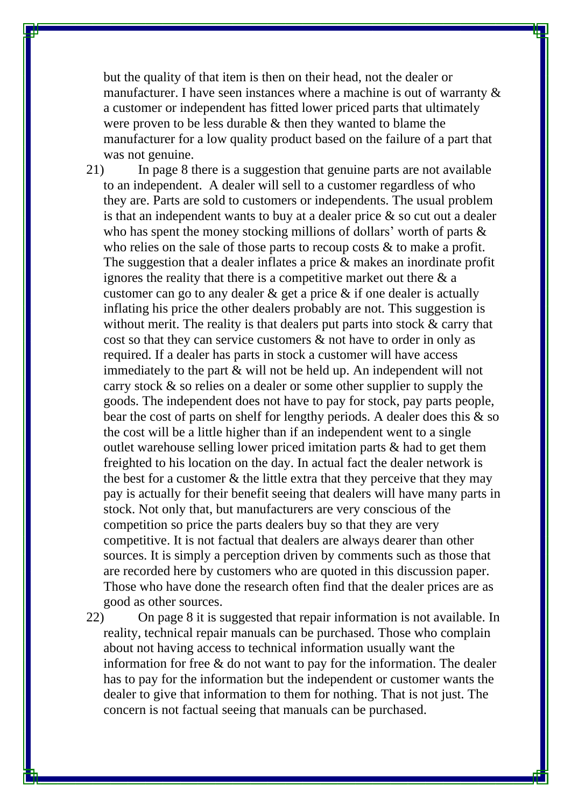but the quality of that item is then on their head, not the dealer or manufacturer. I have seen instances where a machine is out of warranty & a customer or independent has fitted lower priced parts that ultimately were proven to be less durable & then they wanted to blame the manufacturer for a low quality product based on the failure of a part that was not genuine.

21) In page 8 there is a suggestion that genuine parts are not available to an independent. A dealer will sell to a customer regardless of who they are. Parts are sold to customers or independents. The usual problem is that an independent wants to buy at a dealer price  $\&$  so cut out a dealer who has spent the money stocking millions of dollars' worth of parts & who relies on the sale of those parts to recoup costs & to make a profit. The suggestion that a dealer inflates a price & makes an inordinate profit ignores the reality that there is a competitive market out there  $\&$  a customer can go to any dealer & get a price & if one dealer is actually inflating his price the other dealers probably are not. This suggestion is without merit. The reality is that dealers put parts into stock  $\&$  carry that cost so that they can service customers & not have to order in only as required. If a dealer has parts in stock a customer will have access immediately to the part & will not be held up. An independent will not carry stock & so relies on a dealer or some other supplier to supply the goods. The independent does not have to pay for stock, pay parts people, bear the cost of parts on shelf for lengthy periods. A dealer does this & so the cost will be a little higher than if an independent went to a single outlet warehouse selling lower priced imitation parts & had to get them freighted to his location on the day. In actual fact the dealer network is the best for a customer & the little extra that they perceive that they may pay is actually for their benefit seeing that dealers will have many parts in stock. Not only that, but manufacturers are very conscious of the competition so price the parts dealers buy so that they are very competitive. It is not factual that dealers are always dearer than other sources. It is simply a perception driven by comments such as those that are recorded here by customers who are quoted in this discussion paper. Those who have done the research often find that the dealer prices are as good as other sources.

22) On page 8 it is suggested that repair information is not available. In reality, technical repair manuals can be purchased. Those who complain about not having access to technical information usually want the information for free  $\&$  do not want to pay for the information. The dealer has to pay for the information but the independent or customer wants the dealer to give that information to them for nothing. That is not just. The concern is not factual seeing that manuals can be purchased.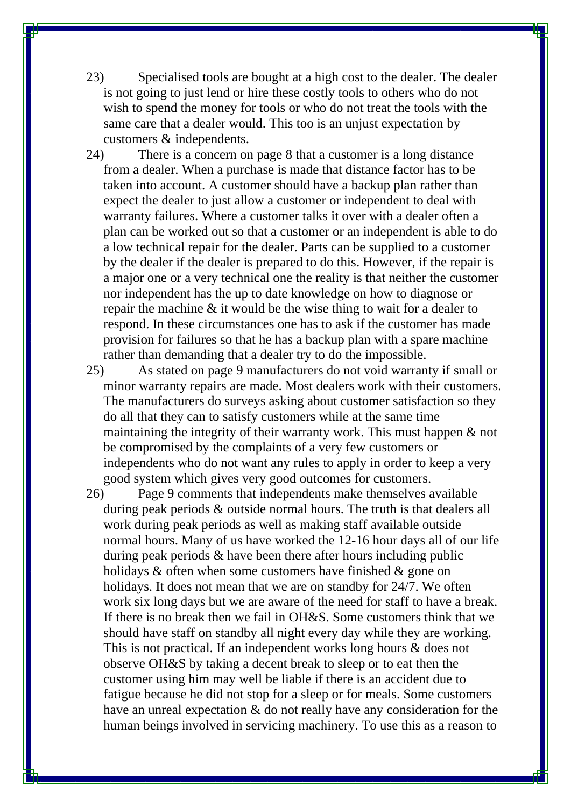23) Specialised tools are bought at a high cost to the dealer. The dealer is not going to just lend or hire these costly tools to others who do not wish to spend the money for tools or who do not treat the tools with the same care that a dealer would. This too is an unjust expectation by customers & independents.

24) There is a concern on page 8 that a customer is a long distance from a dealer. When a purchase is made that distance factor has to be taken into account. A customer should have a backup plan rather than expect the dealer to just allow a customer or independent to deal with warranty failures. Where a customer talks it over with a dealer often a plan can be worked out so that a customer or an independent is able to do a low technical repair for the dealer. Parts can be supplied to a customer by the dealer if the dealer is prepared to do this. However, if the repair is a major one or a very technical one the reality is that neither the customer nor independent has the up to date knowledge on how to diagnose or repair the machine & it would be the wise thing to wait for a dealer to respond. In these circumstances one has to ask if the customer has made provision for failures so that he has a backup plan with a spare machine rather than demanding that a dealer try to do the impossible.

25) As stated on page 9 manufacturers do not void warranty if small or minor warranty repairs are made. Most dealers work with their customers. The manufacturers do surveys asking about customer satisfaction so they do all that they can to satisfy customers while at the same time maintaining the integrity of their warranty work. This must happen & not be compromised by the complaints of a very few customers or independents who do not want any rules to apply in order to keep a very good system which gives very good outcomes for customers.

26) Page 9 comments that independents make themselves available during peak periods & outside normal hours. The truth is that dealers all work during peak periods as well as making staff available outside normal hours. Many of us have worked the 12-16 hour days all of our life during peak periods & have been there after hours including public holidays & often when some customers have finished & gone on holidays. It does not mean that we are on standby for 24/7. We often work six long days but we are aware of the need for staff to have a break. If there is no break then we fail in OH&S. Some customers think that we should have staff on standby all night every day while they are working. This is not practical. If an independent works long hours & does not observe OH&S by taking a decent break to sleep or to eat then the customer using him may well be liable if there is an accident due to fatigue because he did not stop for a sleep or for meals. Some customers have an unreal expectation & do not really have any consideration for the human beings involved in servicing machinery. To use this as a reason to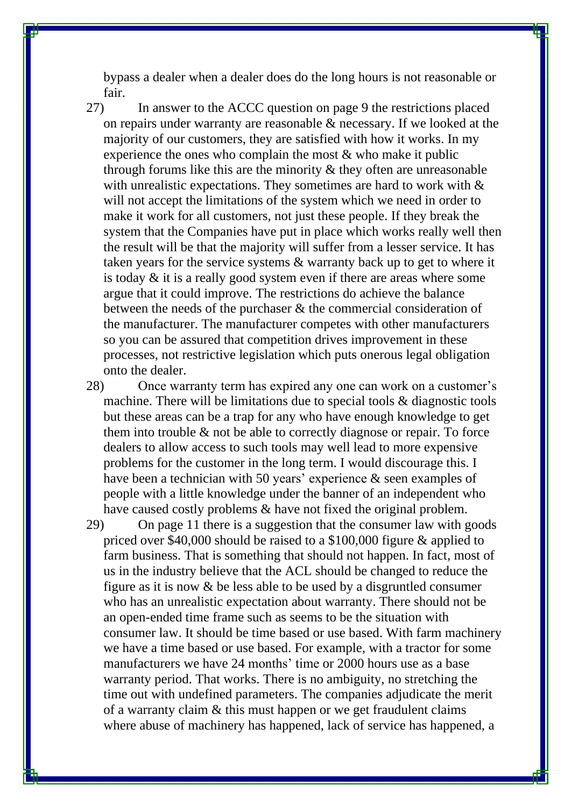bypass a dealer when a dealer does do the long hours is not reasonable or fair.

27) In answer to the ACCC question on page 9 the restrictions placed on repairs under warranty are reasonable & necessary. If we looked at the majority of our customers, they are satisfied with how it works. In my experience the ones who complain the most & who make it public through forums like this are the minority  $\&$  they often are unreasonable with unrealistic expectations. They sometimes are hard to work with  $\&$ will not accept the limitations of the system which we need in order to make it work for all customers, not just these people. If they break the system that the Companies have put in place which works really well then the result will be that the majority will suffer from a lesser service. It has taken years for the service systems & warranty back up to get to where it is today & it is a really good system even if there are areas where some argue that it could improve. The restrictions do achieve the balance between the needs of the purchaser & the commercial consideration of the manufacturer. The manufacturer competes with other manufacturers so you can be assured that competition drives improvement in these processes, not restrictive legislation which puts onerous legal obligation onto the dealer.

28) Once warranty term has expired any one can work on a customer's machine. There will be limitations due to special tools & diagnostic tools but these areas can be a trap for any who have enough knowledge to get them into trouble & not be able to correctly diagnose or repair. To force dealers to allow access to such tools may well lead to more expensive problems for the customer in the long term. I would discourage this. I have been a technician with 50 years' experience & seen examples of people with a little knowledge under the banner of an independent who have caused costly problems & have not fixed the original problem.

29) On page 11 there is a suggestion that the consumer law with goods priced over \$40,000 should be raised to a \$100,000 figure & applied to farm business. That is something that should not happen. In fact, most of us in the industry believe that the ACL should be changed to reduce the figure as it is now & be less able to be used by a disgruntled consumer who has an unrealistic expectation about warranty. There should not be an open-ended time frame such as seems to be the situation with consumer law. It should be time based or use based. With farm machinery we have a time based or use based. For example, with a tractor for some manufacturers we have 24 months' time or 2000 hours use as a base warranty period. That works. There is no ambiguity, no stretching the time out with undefined parameters. The companies adjudicate the merit of a warranty claim & this must happen or we get fraudulent claims where abuse of machinery has happened, lack of service has happened, a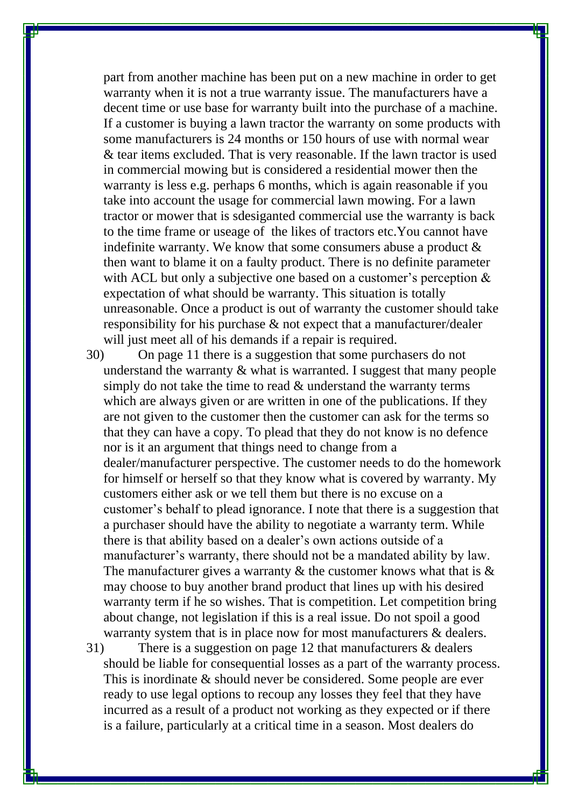part from another machine has been put on a new machine in order to get warranty when it is not a true warranty issue. The manufacturers have a decent time or use base for warranty built into the purchase of a machine. If a customer is buying a lawn tractor the warranty on some products with some manufacturers is 24 months or 150 hours of use with normal wear & tear items excluded. That is very reasonable. If the lawn tractor is used in commercial mowing but is considered a residential mower then the warranty is less e.g. perhaps 6 months, which is again reasonable if you take into account the usage for commercial lawn mowing. For a lawn tractor or mower that is sdesiganted commercial use the warranty is back to the time frame or useage of the likes of tractors etc.You cannot have indefinite warranty. We know that some consumers abuse a product & then want to blame it on a faulty product. There is no definite parameter with ACL but only a subjective one based on a customer's perception  $\&$ expectation of what should be warranty. This situation is totally unreasonable. Once a product is out of warranty the customer should take responsibility for his purchase & not expect that a manufacturer/dealer will just meet all of his demands if a repair is required.

30) On page 11 there is a suggestion that some purchasers do not understand the warranty & what is warranted. I suggest that many people simply do not take the time to read & understand the warranty terms which are always given or are written in one of the publications. If they are not given to the customer then the customer can ask for the terms so that they can have a copy. To plead that they do not know is no defence nor is it an argument that things need to change from a dealer/manufacturer perspective. The customer needs to do the homework for himself or herself so that they know what is covered by warranty. My customers either ask or we tell them but there is no excuse on a customer's behalf to plead ignorance. I note that there is a suggestion that a purchaser should have the ability to negotiate a warranty term. While there is that ability based on a dealer's own actions outside of a manufacturer's warranty, there should not be a mandated ability by law. The manufacturer gives a warranty  $\&$  the customer knows what that is  $\&$ may choose to buy another brand product that lines up with his desired warranty term if he so wishes. That is competition. Let competition bring about change, not legislation if this is a real issue. Do not spoil a good warranty system that is in place now for most manufacturers & dealers.

31) There is a suggestion on page 12 that manufacturers & dealers should be liable for consequential losses as a part of the warranty process. This is inordinate & should never be considered. Some people are ever ready to use legal options to recoup any losses they feel that they have incurred as a result of a product not working as they expected or if there is a failure, particularly at a critical time in a season. Most dealers do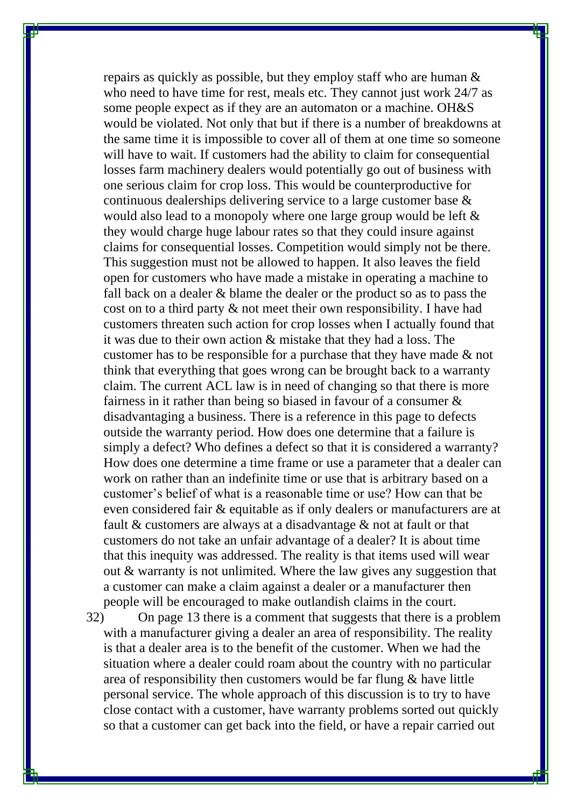repairs as quickly as possible, but they employ staff who are human & who need to have time for rest, meals etc. They cannot just work 24/7 as some people expect as if they are an automaton or a machine. OH&S would be violated. Not only that but if there is a number of breakdowns at the same time it is impossible to cover all of them at one time so someone will have to wait. If customers had the ability to claim for consequential losses farm machinery dealers would potentially go out of business with one serious claim for crop loss. This would be counterproductive for continuous dealerships delivering service to a large customer base & would also lead to a monopoly where one large group would be left & they would charge huge labour rates so that they could insure against claims for consequential losses. Competition would simply not be there. This suggestion must not be allowed to happen. It also leaves the field open for customers who have made a mistake in operating a machine to fall back on a dealer & blame the dealer or the product so as to pass the cost on to a third party & not meet their own responsibility. I have had customers threaten such action for crop losses when I actually found that it was due to their own action & mistake that they had a loss. The customer has to be responsible for a purchase that they have made & not think that everything that goes wrong can be brought back to a warranty claim. The current ACL law is in need of changing so that there is more fairness in it rather than being so biased in favour of a consumer & disadvantaging a business. There is a reference in this page to defects outside the warranty period. How does one determine that a failure is simply a defect? Who defines a defect so that it is considered a warranty? How does one determine a time frame or use a parameter that a dealer can work on rather than an indefinite time or use that is arbitrary based on a customer's belief of what is a reasonable time or use? How can that be even considered fair & equitable as if only dealers or manufacturers are at fault & customers are always at a disadvantage & not at fault or that customers do not take an unfair advantage of a dealer? It is about time that this inequity was addressed. The reality is that items used will wear out & warranty is not unlimited. Where the law gives any suggestion that a customer can make a claim against a dealer or a manufacturer then people will be encouraged to make outlandish claims in the court.

32) On page 13 there is a comment that suggests that there is a problem with a manufacturer giving a dealer an area of responsibility. The reality is that a dealer area is to the benefit of the customer. When we had the situation where a dealer could roam about the country with no particular area of responsibility then customers would be far flung & have little personal service. The whole approach of this discussion is to try to have close contact with a customer, have warranty problems sorted out quickly so that a customer can get back into the field, or have a repair carried out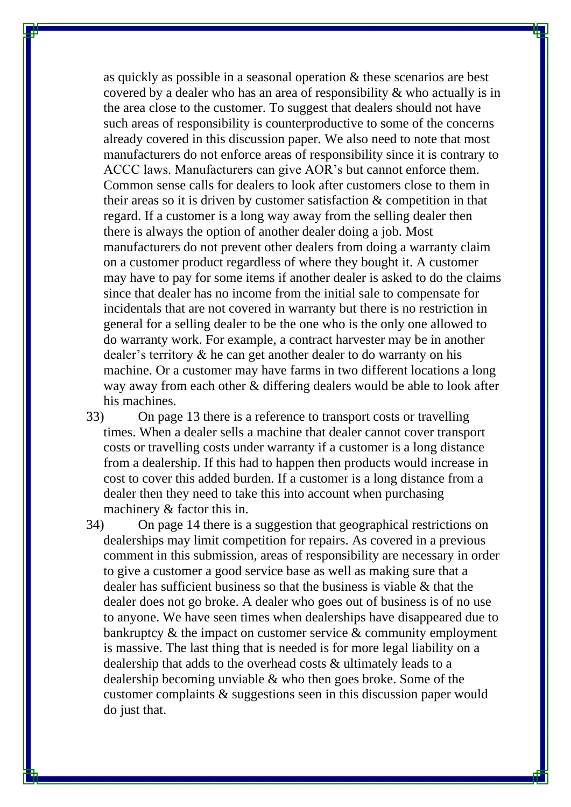as quickly as possible in a seasonal operation & these scenarios are best covered by a dealer who has an area of responsibility & who actually is in the area close to the customer. To suggest that dealers should not have such areas of responsibility is counterproductive to some of the concerns already covered in this discussion paper. We also need to note that most manufacturers do not enforce areas of responsibility since it is contrary to ACCC laws. Manufacturers can give AOR's but cannot enforce them. Common sense calls for dealers to look after customers close to them in their areas so it is driven by customer satisfaction & competition in that regard. If a customer is a long way away from the selling dealer then there is always the option of another dealer doing a job. Most manufacturers do not prevent other dealers from doing a warranty claim on a customer product regardless of where they bought it. A customer may have to pay for some items if another dealer is asked to do the claims since that dealer has no income from the initial sale to compensate for incidentals that are not covered in warranty but there is no restriction in general for a selling dealer to be the one who is the only one allowed to do warranty work. For example, a contract harvester may be in another dealer's territory & he can get another dealer to do warranty on his machine. Or a customer may have farms in two different locations a long way away from each other & differing dealers would be able to look after his machines.

- 33) On page 13 there is a reference to transport costs or travelling times. When a dealer sells a machine that dealer cannot cover transport costs or travelling costs under warranty if a customer is a long distance from a dealership. If this had to happen then products would increase in cost to cover this added burden. If a customer is a long distance from a dealer then they need to take this into account when purchasing machinery & factor this in.
- 34) On page 14 there is a suggestion that geographical restrictions on dealerships may limit competition for repairs. As covered in a previous comment in this submission, areas of responsibility are necessary in order to give a customer a good service base as well as making sure that a dealer has sufficient business so that the business is viable & that the dealer does not go broke. A dealer who goes out of business is of no use to anyone. We have seen times when dealerships have disappeared due to bankruptcy & the impact on customer service & community employment is massive. The last thing that is needed is for more legal liability on a dealership that adds to the overhead costs & ultimately leads to a dealership becoming unviable & who then goes broke. Some of the customer complaints & suggestions seen in this discussion paper would do just that.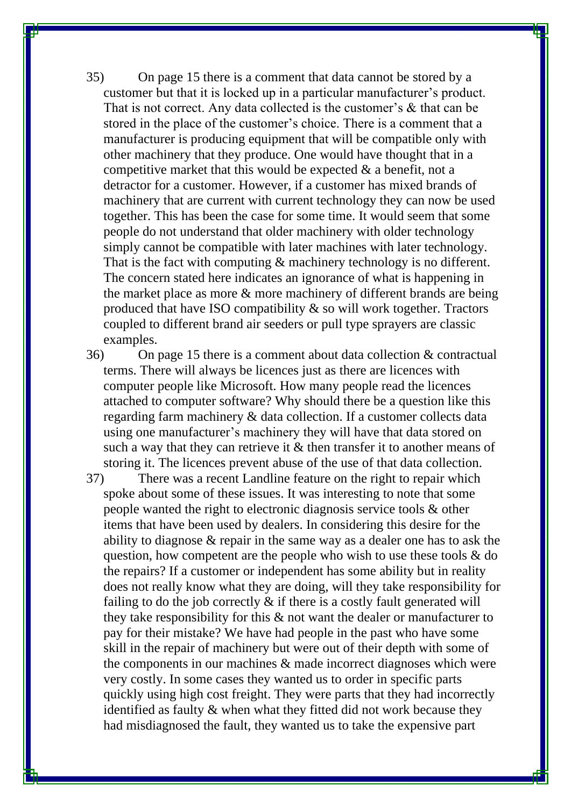35) On page 15 there is a comment that data cannot be stored by a customer but that it is locked up in a particular manufacturer's product. That is not correct. Any data collected is the customer's & that can be stored in the place of the customer's choice. There is a comment that a manufacturer is producing equipment that will be compatible only with other machinery that they produce. One would have thought that in a competitive market that this would be expected  $\&$  a benefit, not a detractor for a customer. However, if a customer has mixed brands of machinery that are current with current technology they can now be used together. This has been the case for some time. It would seem that some people do not understand that older machinery with older technology simply cannot be compatible with later machines with later technology. That is the fact with computing  $\&$  machinery technology is no different. The concern stated here indicates an ignorance of what is happening in the market place as more & more machinery of different brands are being produced that have ISO compatibility & so will work together. Tractors coupled to different brand air seeders or pull type sprayers are classic examples.

36) On page 15 there is a comment about data collection & contractual terms. There will always be licences just as there are licences with computer people like Microsoft. How many people read the licences attached to computer software? Why should there be a question like this regarding farm machinery & data collection. If a customer collects data using one manufacturer's machinery they will have that data stored on such a way that they can retrieve it & then transfer it to another means of storing it. The licences prevent abuse of the use of that data collection.

37) There was a recent Landline feature on the right to repair which spoke about some of these issues. It was interesting to note that some people wanted the right to electronic diagnosis service tools & other items that have been used by dealers. In considering this desire for the ability to diagnose & repair in the same way as a dealer one has to ask the question, how competent are the people who wish to use these tools & do the repairs? If a customer or independent has some ability but in reality does not really know what they are doing, will they take responsibility for failing to do the job correctly  $\&$  if there is a costly fault generated will they take responsibility for this & not want the dealer or manufacturer to pay for their mistake? We have had people in the past who have some skill in the repair of machinery but were out of their depth with some of the components in our machines & made incorrect diagnoses which were very costly. In some cases they wanted us to order in specific parts quickly using high cost freight. They were parts that they had incorrectly identified as faulty & when what they fitted did not work because they had misdiagnosed the fault, they wanted us to take the expensive part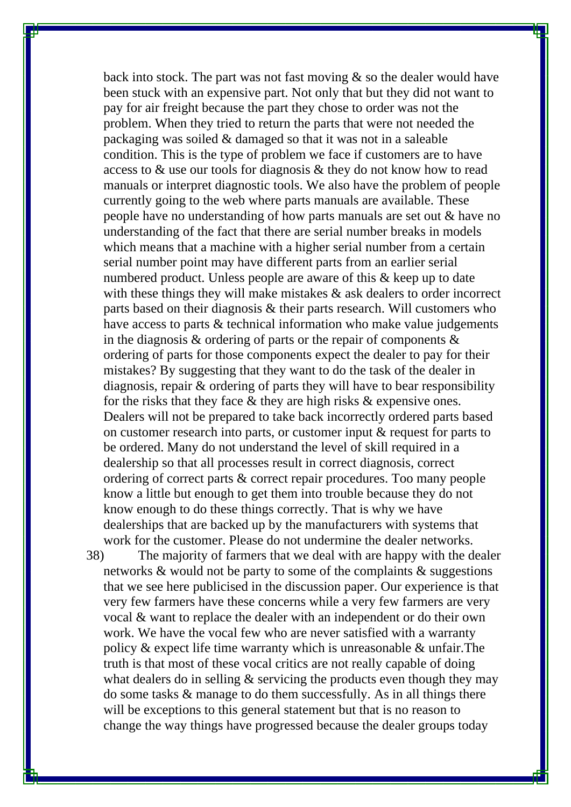back into stock. The part was not fast moving  $\&$  so the dealer would have been stuck with an expensive part. Not only that but they did not want to pay for air freight because the part they chose to order was not the problem. When they tried to return the parts that were not needed the packaging was soiled & damaged so that it was not in a saleable condition. This is the type of problem we face if customers are to have access to & use our tools for diagnosis & they do not know how to read manuals or interpret diagnostic tools. We also have the problem of people currently going to the web where parts manuals are available. These people have no understanding of how parts manuals are set out & have no understanding of the fact that there are serial number breaks in models which means that a machine with a higher serial number from a certain serial number point may have different parts from an earlier serial numbered product. Unless people are aware of this & keep up to date with these things they will make mistakes  $\&$  ask dealers to order incorrect parts based on their diagnosis & their parts research. Will customers who have access to parts & technical information who make value judgements in the diagnosis  $\&$  ordering of parts or the repair of components  $\&$ ordering of parts for those components expect the dealer to pay for their mistakes? By suggesting that they want to do the task of the dealer in diagnosis, repair & ordering of parts they will have to bear responsibility for the risks that they face & they are high risks & expensive ones. Dealers will not be prepared to take back incorrectly ordered parts based on customer research into parts, or customer input & request for parts to be ordered. Many do not understand the level of skill required in a dealership so that all processes result in correct diagnosis, correct ordering of correct parts & correct repair procedures. Too many people know a little but enough to get them into trouble because they do not know enough to do these things correctly. That is why we have dealerships that are backed up by the manufacturers with systems that work for the customer. Please do not undermine the dealer networks.

38) The majority of farmers that we deal with are happy with the dealer networks & would not be party to some of the complaints & suggestions that we see here publicised in the discussion paper. Our experience is that very few farmers have these concerns while a very few farmers are very vocal & want to replace the dealer with an independent or do their own work. We have the vocal few who are never satisfied with a warranty policy & expect life time warranty which is unreasonable & unfair.The truth is that most of these vocal critics are not really capable of doing what dealers do in selling & servicing the products even though they may do some tasks & manage to do them successfully. As in all things there will be exceptions to this general statement but that is no reason to change the way things have progressed because the dealer groups today